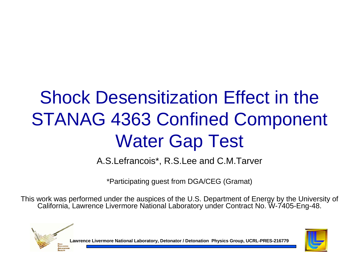### Shock Desensitization Effect in the STANAG 4363 Confined Component Water Gap Test

A.S.Lefrancois\*, R.S.Lee and C.M.Tarver

\*Participating guest from DGA/CEG (Gramat)

This work was performed under the auspices of the U.S. Department of Energy by the University of California, Lawrence Livermore National Laboratory under Contract No. W-7405-Eng-48.



**Lawrence Livermore National Laboratory, Detonator / Detonation Physics Group, UCRL-PRES-216779**

**APPLICATI**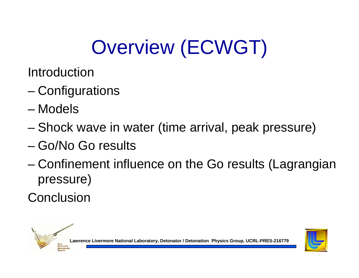# Overview (ECWGT)

- Introduction
- –**Configurations**
- Models
- –Shock wave in water (time arrival, peak pressure)
- Go/No Go results
- – Confinement influence on the Go results (Lagrangian pressure)
- **Conclusion**



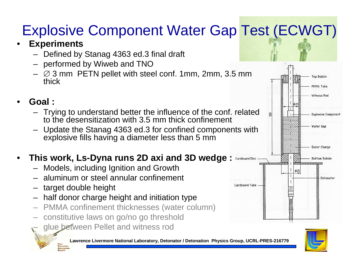### Explosive Component Water Gap Test (ECWGT)

#### •**Experiments**

- Defined by Stanag 4363 ed.3 final draft
- performed by Wiweb and TNO
- $\varnothing$  3 mm PETN pellet with steel conf. 1mm, 2mm, 3.5 mm thick

#### •**Goal :**

- Trying to understand better the influence of the conf. related to the desensitization with 3.5 mm thick confinement
- – Update the Stanag 4363 ed.3 for confined components with explosive fills having a diameter less than 5 mm

### •**This work, Ls-Dyna runs 2D axi and 3D wedge :**

- Models, including Ignition and Growth
- aluminum or steel annular confinement
- target double height

**EXPLOSIVE APPLICATION** 

- half donor charge height and initiation type
- PMMA confinement thicknesses (water column)
- constitutive laws on go/no go threshold
- glue between Pellet and witness rod





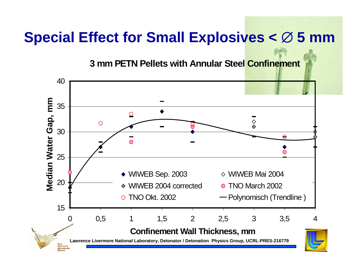### **Special Effect for Small Explosives <**  ∅ **5 mm**

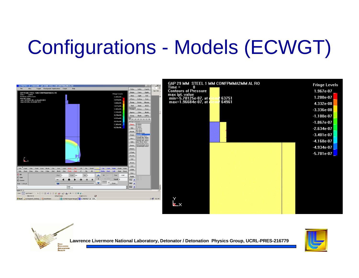# Configurations - Models (ECWGT)





**EXPLOSIVES APPLICATIONS FACILITY** 

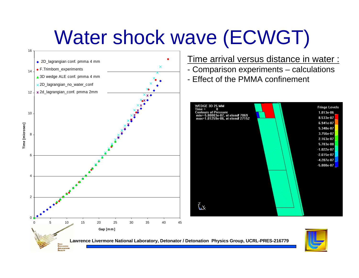## Water shock wave (ECWGT)

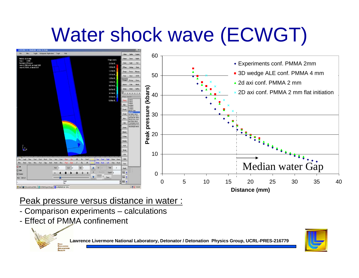## Water shock wave (ECWGT)



### Peak pressure versus distance in water :

- Comparison experiments calculations
- Effect of PMMA confinement

**EXPLOSIVES APPLICATION** 

**Lawrence Livermore National Laboratory, Detonator / Detonation Physics Group, UCRL-PRES-216779**

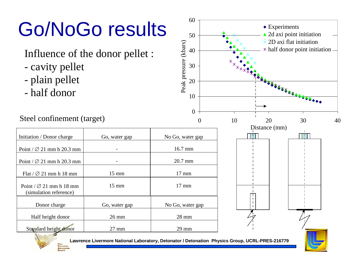# Go/NoGo results

- cavity pellet
- plain pellet
- half donor

### Steel confinement (target)

Explo **APPLICATION** 

| Initiation / Donor charge                                     | Go, water gap   | No Go, water gap |
|---------------------------------------------------------------|-----------------|------------------|
| Point / $\varnothing$ 21 mm h 20.3 mm                         |                 | $16.7$ mm        |
| Point / $\varnothing$ 21 mm h 20.3 mm                         |                 | 20.7 mm          |
| Flat $/$ $\varnothing$ 21 mm h 18 mm                          | $15 \text{ mm}$ | $17 \text{ mm}$  |
| Point / $\varnothing$ 21 mm h 18 mm<br>(simulation reference) | $15 \text{ mm}$ | $17 \text{ mm}$  |
| Donor charge                                                  | Go, water gap   | No Go, water gap |
| Half height donor                                             | $26 \text{ mm}$ | $28 \text{ mm}$  |
| Standard height donor                                         | $27 \text{ mm}$ | $29 \text{ mm}$  |

Peak pressure (kbars)

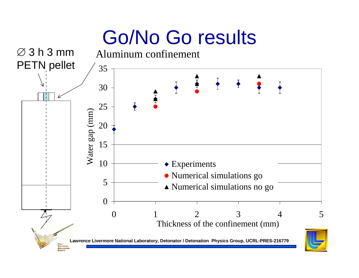## Go/No Go results

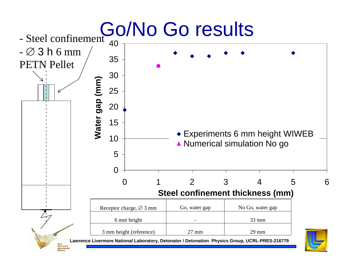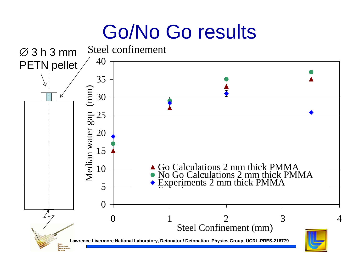### Go/No Go results

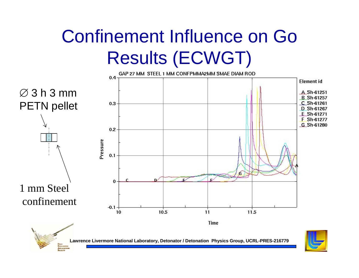



**Lawrence Livermore National Laboratory, Detonator / Detonation Physics Group, UCRL-PRES-216779**

**EXPLOSIVES APPLICATION**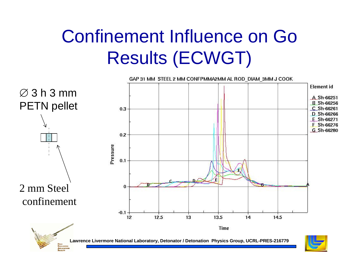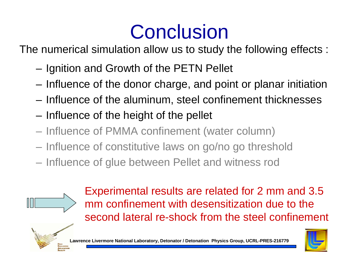### **Conclusion**

The numerical simulation allow us to study the following effects :

- **Links of the Common** Ignition and Growth of the PETN Pellet
- **Links of the Common** Influence of the donor charge, and point or planar initiation
- **Links of the Common** Influence of the aluminum, steel confinement thicknesses
- **Links of the Common** Influence of the height of the pellet
- Influence of PMMA confinement (water column)
- Influence of constitutive laws on go/no go threshold
- Influence of glue between Pellet and witness rod



Experimental results are related for 2 mm and 3.5 mm confinement with desensitization due to the second lateral re-shock from the steel confinement





**Lawrence Livermore National Laboratory, Detonator / Detonation Physics Group, UCRL-PRES-216779**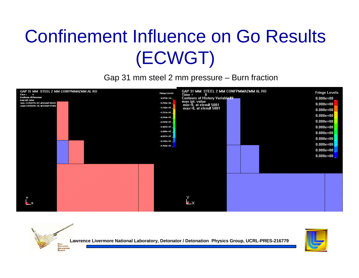Gap 31 mm steel 2 mm pressure – Burn fraction





**Lawrence Livermore National Laboratory, Detonator / Detonation Physics Group, UCRL-PRES-216779**

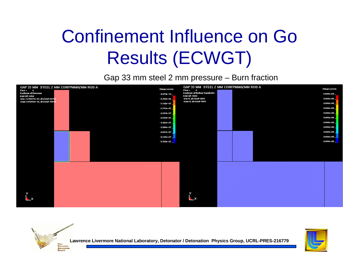Gap 33 mm steel 2 mm pressure – Burn fraction





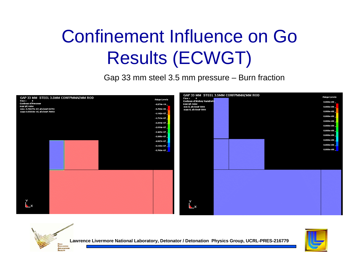Gap 33 mm steel 3.5 mm pressure – Burn fraction





**Lawrence Livermore National Laboratory, Detonator / Detonation Physics Group, UCRL-PRES-216779**

**EXPLOSIVES APPLICATIONS FACILITY**